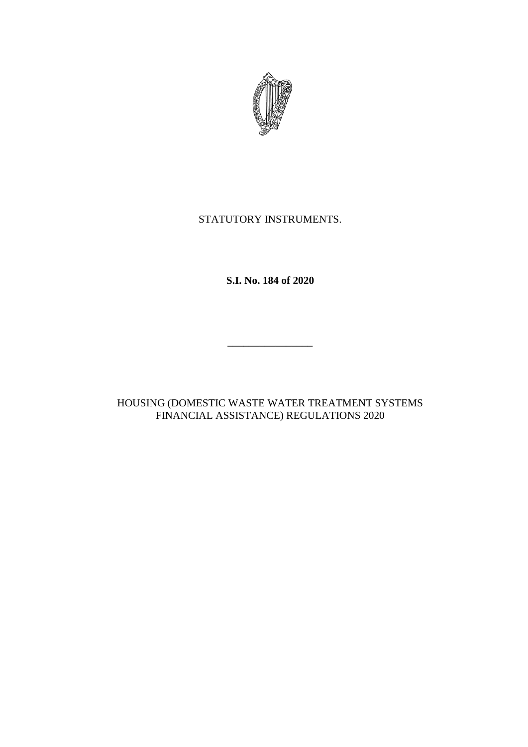

# STATUTORY INSTRUMENTS.

**S.I. No. 184 of 2020**

\_\_\_\_\_\_\_\_\_\_\_\_\_\_\_\_

HOUSING (DOMESTIC WASTE WATER TREATMENT SYSTEMS FINANCIAL ASSISTANCE) REGULATIONS 2020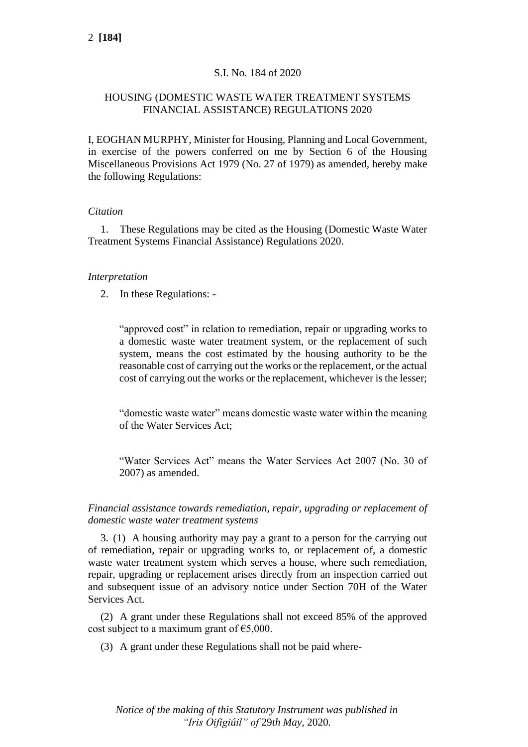# S.I. No. 184 of 2020

## HOUSING (DOMESTIC WASTE WATER TREATMENT SYSTEMS FINANCIAL ASSISTANCE) REGULATIONS 2020

I, EOGHAN MURPHY, Minister for Housing, Planning and Local Government, in exercise of the powers conferred on me by Section 6 of the Housing Miscellaneous Provisions Act 1979 (No. 27 of 1979) as amended, hereby make the following Regulations:

### *Citation*

1. These Regulations may be cited as the Housing (Domestic Waste Water Treatment Systems Financial Assistance) Regulations 2020.

### *Interpretation*

2. In these Regulations: -

"approved cost" in relation to remediation, repair or upgrading works to a domestic waste water treatment system, or the replacement of such system, means the cost estimated by the housing authority to be the reasonable cost of carrying out the works or the replacement, or the actual cost of carrying out the works or the replacement, whichever is the lesser;

"domestic waste water" means domestic waste water within the meaning of the Water Services Act;

"Water Services Act" means the Water Services Act 2007 (No. 30 of 2007) as amended.

*Financial assistance towards remediation, repair, upgrading or replacement of domestic waste water treatment systems*

3. (1) A housing authority may pay a grant to a person for the carrying out of remediation, repair or upgrading works to, or replacement of, a domestic waste water treatment system which serves a house, where such remediation, repair, upgrading or replacement arises directly from an inspection carried out and subsequent issue of an advisory notice under Section 70H of the Water Services Act.

(2) A grant under these Regulations shall not exceed 85% of the approved cost subject to a maximum grant of  $\epsilon$ 5,000.

(3) A grant under these Regulations shall not be paid where-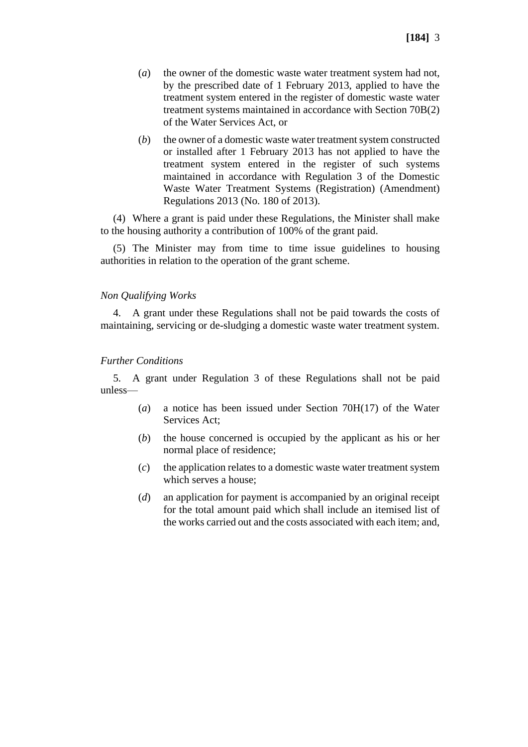- (*a*) the owner of the domestic waste water treatment system had not, by the prescribed date of 1 February 2013, applied to have the treatment system entered in the register of domestic waste water treatment systems maintained in accordance with Section 70B(2) of the Water Services Act, or
- (*b*) the owner of a domestic waste water treatment system constructed or installed after 1 February 2013 has not applied to have the treatment system entered in the register of such systems maintained in accordance with Regulation 3 of the Domestic Waste Water Treatment Systems (Registration) (Amendment) Regulations 2013 (No. 180 of 2013).

(4) Where a grant is paid under these Regulations, the Minister shall make to the housing authority a contribution of 100% of the grant paid.

(5) The Minister may from time to time issue guidelines to housing authorities in relation to the operation of the grant scheme.

#### *Non Qualifying Works*

4. A grant under these Regulations shall not be paid towards the costs of maintaining, servicing or de-sludging a domestic waste water treatment system.

#### *Further Conditions*

5. A grant under Regulation 3 of these Regulations shall not be paid unless—

- (*a*) a notice has been issued under Section 70H(17) of the Water Services Act;
- (*b*) the house concerned is occupied by the applicant as his or her normal place of residence;
- (*c*) the application relates to a domestic waste water treatment system which serves a house;
- (*d*) an application for payment is accompanied by an original receipt for the total amount paid which shall include an itemised list of the works carried out and the costs associated with each item; and,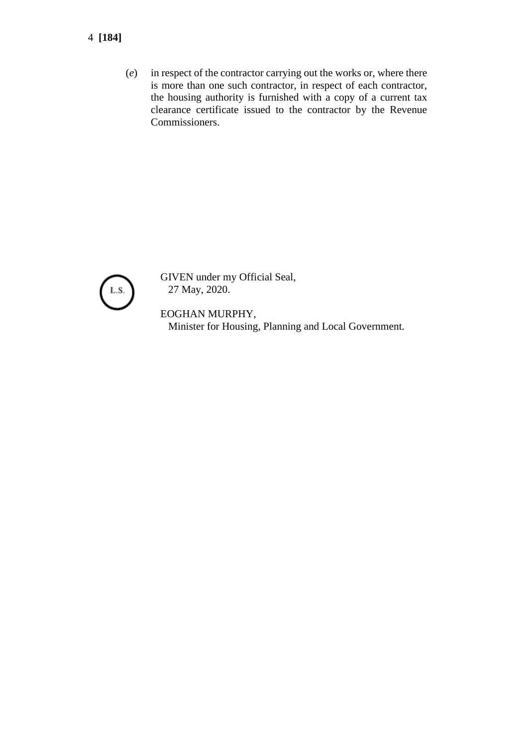- 4 **[184]**
	- (*e*) in respect of the contractor carrying out the works or, where there is more than one such contractor, in respect of each contractor, the housing authority is furnished with a copy of a current tax clearance certificate issued to the contractor by the Revenue Commissioners.



GIVEN under my Official Seal, 27 May, 2020.

EOGHAN MURPHY, Minister for Housing, Planning and Local Government.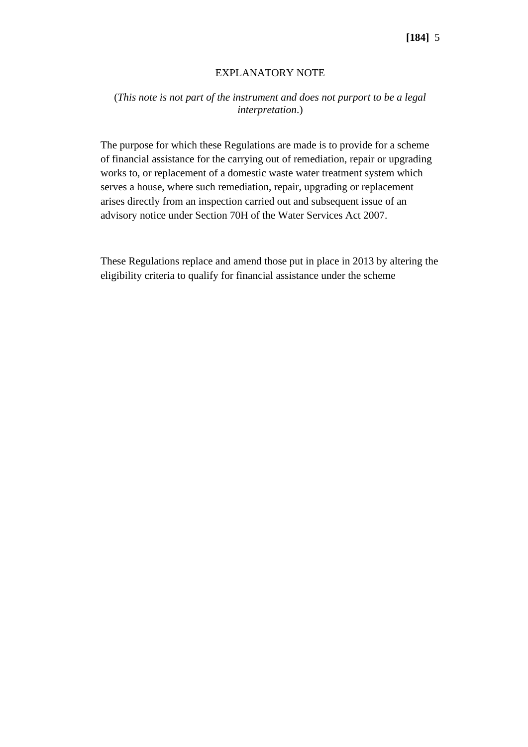## EXPLANATORY NOTE

## (*This note is not part of the instrument and does not purport to be a legal interpretation*.)

The purpose for which these Regulations are made is to provide for a scheme of financial assistance for the carrying out of remediation, repair or upgrading works to, or replacement of a domestic waste water treatment system which serves a house, where such remediation, repair, upgrading or replacement arises directly from an inspection carried out and subsequent issue of an advisory notice under Section 70H of the Water Services Act 2007.

These Regulations replace and amend those put in place in 2013 by altering the eligibility criteria to qualify for financial assistance under the scheme